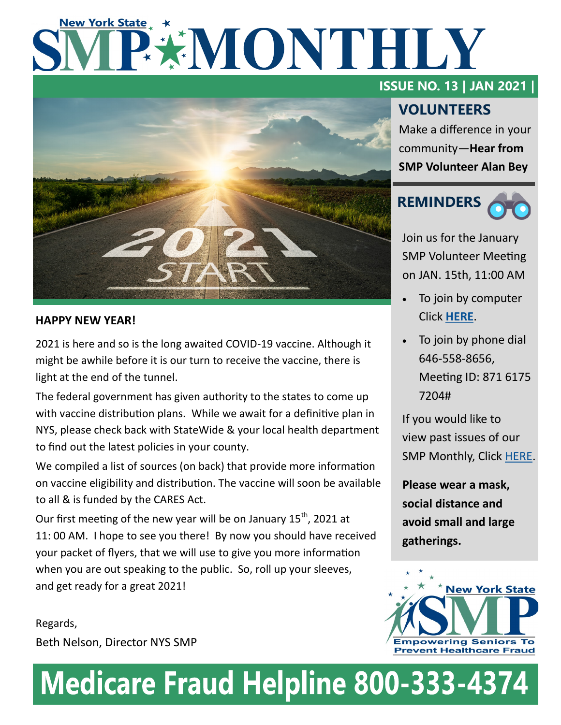# **New York State** PEMONTHLY



## **HAPPY NEW YEAR!**

2021 is here and so is the long awaited COVID-19 vaccine. Although it might be awhile before it is our turn to receive the vaccine, there is light at the end of the tunnel.

The federal government has given authority to the states to come up with vaccine distribution plans. While we await for a definitive plan in NYS, please check back with StateWide & your local health department to find out the latest policies in your county.

We compiled a list of sources (on back) that provide more information on vaccine eligibility and distribution. The vaccine will soon be available to all & is funded by the CARES Act.

Our first meeting of the new year will be on January  $15<sup>th</sup>$ , 2021 at 11: 00 AM. I hope to see you there! By now you should have received your packet of flyers, that we will use to give you more information when you are out speaking to the public. So, roll up your sleeves, and get ready for a great 2021!

Regards, Beth Nelson, Director NYS SMP

## **ISSUE NO. 13 | JAN 2021 |**

# **VOLUNTEERS**

Make a difference in your community—**Hear from SMP Volunteer Alan Bey**



Join us for the January SMP Volunteer Meeting on JAN. 15th, 11:00 AM

- To join by computer Click **[HERE](https://us02web.zoom.us/j/87161757204)**.
- To join by phone dial 646-558-8656, Meeting ID: 871 6175 7204#

If you would like to view past issues of our SMP Monthly, Click [HERE.](https://www.nysenior.org/senior-medicare-patrol/smp-volunteer-information/)

**Please wear a mask, social distance and avoid small and large gatherings.** 



# **Medicare Fraud Helpline 800-333-4374**